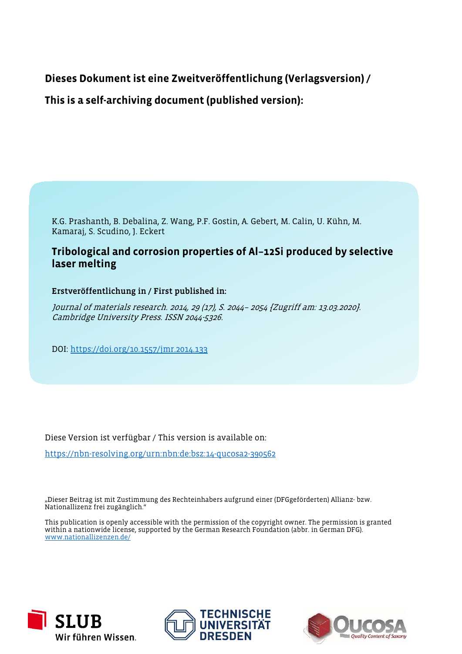# **Dieses Dokument ist eine Zweitveröffentlichung (Verlagsversion) /**

**This is a self-archiving document (published version):**

K.G. Prashanth, B. Debalina, Z. Wang, P.F. Gostin, A. Gebert, M. Calin, U. Kühn, M. Kamaraj, S. Scudino, J. Eckert

# **Tribological and corrosion properties of Al–12Si produced by selective laser melting**

Erstveröffentlichung in / First published in:

Journal of materials research. 2014, 29 (17), S. 2044– 2054 [Zugriff am: 13.03.2020]. Cambridge University Press. ISSN 2044-5326.

DOI: https://doi.org/10.1557/jmr.2014.133

Diese Version ist verfügbar / This version is available on:

https://nbn-resolving.org/urn:nbn:de:bsz:14-qucosa2-390562

"Dieser Beitrag ist mit Zustimmung des Rechteinhabers aufgrund einer (DFGgeförderten) Allianz- bzw. Nationallizenz frei zugänglich."

This publication is openly accessible with the permission of the copyright owner. The permission is granted within a nationwide license, supported by the German Research Foundation (abbr. in German DFG). www.nationallizenzen.de/





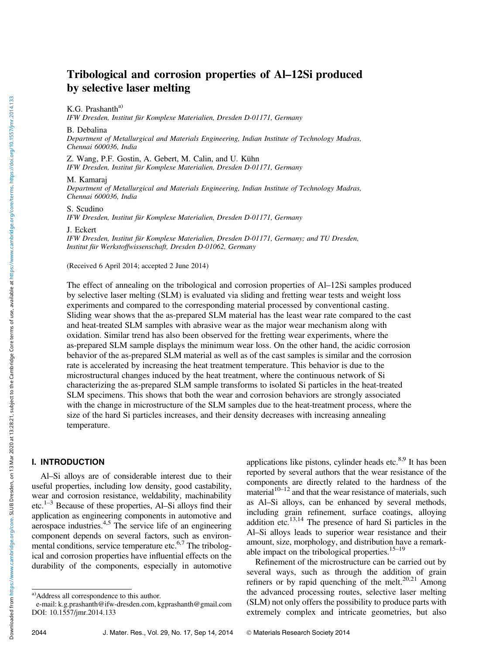# Tribological and corrosion properties of Al–12Si produced by selective laser melting

K.G. Prashantha)

IFW Dresden, Institut für Komplexe Materialien, Dresden D-01171, Germany

B. Debalina

Department of Metallurgical and Materials Engineering, Indian Institute of Technology Madras, Chennai 600036, India

Z. Wang, P.F. Gostin, A. Gebert, M. Calin, and U. Kühn IFW Dresden, Institut für Komplexe Materialien, Dresden D-01171, Germany

#### M. Kamaraj

Department of Metallurgical and Materials Engineering, Indian Institute of Technology Madras, Chennai 600036, India

S. Scudino

IFW Dresden, Institut für Komplexe Materialien, Dresden D-01171, Germany

J. Eckert

IFW Dresden, Institut für Komplexe Materialien, Dresden D-01171, Germany; and TU Dresden, Institut für Werkstoffwissenschaft, Dresden D-01062, Germany

(Received 6 April 2014; accepted 2 June 2014)

The effect of annealing on the tribological and corrosion properties of Al–12Si samples produced by selective laser melting (SLM) is evaluated via sliding and fretting wear tests and weight loss experiments and compared to the corresponding material processed by conventional casting. Sliding wear shows that the as-prepared SLM material has the least wear rate compared to the cast and heat-treated SLM samples with abrasive wear as the major wear mechanism along with oxidation. Similar trend has also been observed for the fretting wear experiments, where the as-prepared SLM sample displays the minimum wear loss. On the other hand, the acidic corrosion behavior of the as-prepared SLM material as well as of the cast samples is similar and the corrosion rate is accelerated by increasing the heat treatment temperature. This behavior is due to the microstructural changes induced by the heat treatment, where the continuous network of Si characterizing the as-prepared SLM sample transforms to isolated Si particles in the heat-treated SLM specimens. This shows that both the wear and corrosion behaviors are strongly associated with the change in microstructure of the SLM samples due to the heat-treatment process, where the size of the hard Si particles increases, and their density decreases with increasing annealing temperature.

#### I. INTRODUCTION

Al–Si alloys are of considerable interest due to their useful properties, including low density, good castability, wear and corrosion resistance, weldability, machinability etc.1–<sup>3</sup> Because of these properties, Al–Si alloys find their application as engineering components in automotive and aerospace industries.<sup>4,5</sup> The service life of an engineering component depends on several factors, such as environmental conditions, service temperature etc.<sup>6,7</sup> The tribological and corrosion properties have influential effects on the durability of the components, especially in automotive

applications like pistons, cylinder heads etc. $8.9$  It has been reported by several authors that the wear resistance of the components are directly related to the hardness of the material $10^{-12}$  and that the wear resistance of materials, such as Al–Si alloys, can be enhanced by several methods, including grain refinement, surface coatings, alloying addition etc.<sup>13,14</sup> The presence of hard Si particles in the Al–Si alloys leads to superior wear resistance and their amount, size, morphology, and distribution have a remarkable impact on the tribological properties. $15-19$ 

Refinement of the microstructure can be carried out by several ways, such as through the addition of grain refiners or by rapid quenching of the melt.<sup>20,21</sup> Among the advanced processing routes, selective laser melting (SLM) not only offers the possibility to produce parts with extremely complex and intricate geometries, but also

Downloaded from https://www.cambridge.org/core. SLUB Dresden, on 13 Mar 2020 at 13:28:21, subject to the Cambridge Core terms of use, available at https://www.cambridge.org/core/terms. https://doi.org/10.1557/jnn:2014.133 Downloaded from https://www.cambridge.org/core. SLUB Dresden, on 13 Mar 2020 at 13:28:21, subject to the Cambridge Core terms of use, available at https://www.cambridge.org/core/terms. https://doi.org/10.1557/jmr.2014.133

a)Address all correspondence to this author.

e-mail: k.g.prashanth@ifw-dresden.com, kgprashanth@gmail.com DOI: 10.1557/jmr.2014.133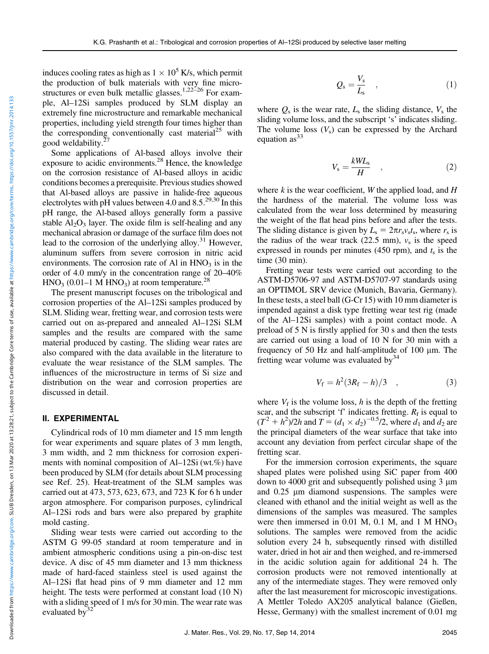induces cooling rates as high as  $1 \times 10^5$  K/s, which permit the production of bulk materials with very fine microstructures or even bulk metallic glasses.<sup>1,22–26</sup> For example, Al–12Si samples produced by SLM display an extremely fine microstructure and remarkable mechanical properties, including yield strength four times higher than the corresponding conventionally cast material<sup>25</sup> with good weldability.<sup>2</sup>

Some applications of Al-based alloys involve their exposure to acidic environments.<sup>28</sup> Hence, the knowledge on the corrosion resistance of Al-based alloys in acidic conditions becomes a prerequisite. Previous studies showed that Al-based alloys are passive in halide-free aqueous electrolytes with pH values between 4.0 and  $8.5^{29,30}$  In this pH range, the Al-based alloys generally form a passive stable  $Al_2O_3$  layer. The oxide film is self-healing and any mechanical abrasion or damage of the surface film does not lead to the corrosion of the underlying alloy.<sup>31</sup> However, aluminum suffers from severe corrosion in nitric acid environments. The corrosion rate of Al in  $HNO<sub>3</sub>$  is in the order of 4.0 mm/y in the concentration range of 20–40%  $HNO<sub>3</sub>$  (0.01–1 M  $HNO<sub>3</sub>$ ) at room temperature.<sup>28</sup>

The present manuscript focuses on the tribological and corrosion properties of the Al–12Si samples produced by SLM. Sliding wear, fretting wear, and corrosion tests were carried out on as-prepared and annealed Al–12Si SLM samples and the results are compared with the same material produced by casting. The sliding wear rates are also compared with the data available in the literature to evaluate the wear resistance of the SLM samples. The influences of the microstructure in terms of Si size and distribution on the wear and corrosion properties are discussed in detail.

### II. EXPERIMENTAL

Cylindrical rods of 10 mm diameter and 15 mm length for wear experiments and square plates of 3 mm length, 3 mm width, and 2 mm thickness for corrosion experiments with nominal composition of Al–12Si (wt.%) have been produced by SLM (for details about SLM processing see Ref. 25). Heat-treatment of the SLM samples was carried out at 473, 573, 623, 673, and 723 K for 6 h under argon atmosphere. For comparison purposes, cylindrical Al–12Si rods and bars were also prepared by graphite mold casting.

Sliding wear tests were carried out according to the ASTM G 99-05 standard at room temperature and in ambient atmospheric conditions using a pin-on-disc test device. A disc of 45 mm diameter and 13 mm thickness made of hard-faced stainless steel is used against the Al–12Si flat head pins of 9 mm diameter and 12 mm height. The tests were performed at constant load (10 N) with a sliding speed of 1 m/s for 30 min. The wear rate was evaluated by $32$ 

$$
Q_s = \frac{V_s}{L_s} \quad , \tag{1}
$$

where  $Q_s$  is the wear rate,  $L_s$  the sliding distance,  $V_s$  the sliding volume loss, and the subscript 's' indicates sliding. The volume loss  $(V_s)$  can be expressed by the Archard equation  $as<sup>33</sup>$ 

$$
V_{\rm s} = \frac{kWL_{\rm s}}{H} \quad , \tag{2}
$$

where  $k$  is the wear coefficient,  $W$  the applied load, and  $H$ the hardness of the material. The volume loss was calculated from the wear loss determined by measuring the weight of the flat head pins before and after the tests. The sliding distance is given by  $L_s = 2\pi r_s v_s t_s$ , where  $r_s$  is the radius of the wear track  $(22.5 \text{ mm})$ ,  $v_s$  is the speed expressed in rounds per minutes (450 rpm), and  $t_s$  is the time (30 min).

Fretting wear tests were carried out according to the ASTM-D5706-97 and ASTM-D5707-97 standards using an OPTIMOL SRV device (Munich, Bavaria, Germany). In these tests, a steel ball (G-Cr 15) with 10 mm diameter is impended against a disk type fretting wear test rig (made of the Al–12Si samples) with a point contact mode. A preload of 5 N is firstly applied for 30 s and then the tests are carried out using a load of 10 N for 30 min with a frequency of 50 Hz and half-amplitude of  $100 \mu m$ . The fretting wear volume was evaluated by  $34$ 

$$
V_{\rm f} = h^2 (3R_{\rm f} - h)/3 \quad , \tag{3}
$$

where  $V_f$  is the volume loss, h is the depth of the fretting scar, and the subscript 'f' indicates fretting.  $R_f$  is equal to  $(T^2 + h^2)/2h$  and  $T = (d_1 \times d_2)^{-0.5}/2$ , where  $d_1$  and  $d_2$  are the principal diameters of the wear surface that take into account any deviation from perfect circular shape of the fretting scar.

For the immersion corrosion experiments, the square shaped plates were polished using SiC paper from 400 down to 4000 grit and subsequently polished using 3  $\mu$ m and 0.25 um diamond suspensions. The samples were cleaned with ethanol and the initial weight as well as the dimensions of the samples was measured. The samples were then immersed in  $0.01$  M,  $0.1$  M, and  $1$  M HNO<sub>3</sub> solutions. The samples were removed from the acidic solution every 24 h, subsequently rinsed with distilled water, dried in hot air and then weighed, and re-immersed in the acidic solution again for additional 24 h. The corrosion products were not removed intentionally at any of the intermediate stages. They were removed only after the last measurement for microscopic investigations. A Mettler Toledo AX205 analytical balance (Gießen, Hesse, Germany) with the smallest increment of 0.01 mg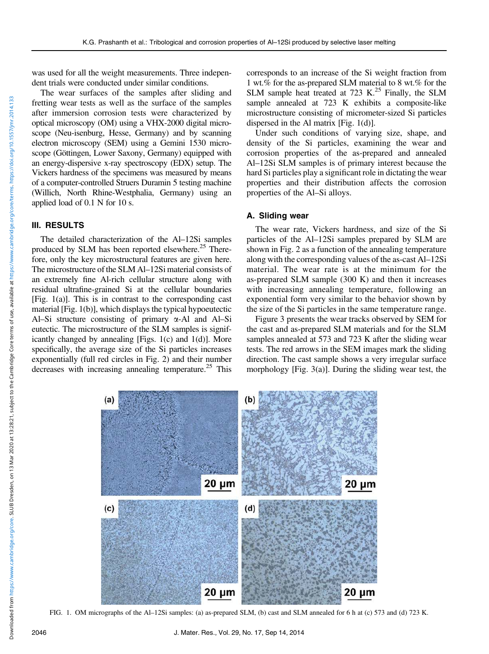optical microscopy (OM) using a VHX-2000 digital microscope (Neu-isenburg, Hesse, Germany) and by scanning electron microscopy (SEM) using a Gemini 1530 microscope (Göttingen, Lower Saxony, Germany) equipped with an energy-dispersive x-ray spectroscopy (EDX) setup. The Vickers hardness of the specimens was measured by means of a computer-controlled Struers Duramin 5 testing machine (Willich, North Rhine-Westphalia, Germany) using an applied load of 0.1 N for 10 s.

## III. RESULTS

The detailed characterization of the Al–12Si samples produced by SLM has been reported elsewhere.<sup>25</sup> Therefore, only the key microstructural features are given here. The microstructure of the SLM Al–12Si material consists of an extremely fine Al-rich cellular structure along with residual ultrafine-grained Si at the cellular boundaries  $[Fig. 1(a)]$ . This is in contrast to the corresponding cast material [Fig. 1(b)], which displays the typical hypoeutectic Al–Si structure consisting of primary a-Al and Al–Si eutectic. The microstructure of the SLM samples is significantly changed by annealing [Figs. 1(c) and 1(d)]. More specifically, the average size of the Si particles increases exponentially (full red circles in Fig. 2) and their number decreases with increasing annealing temperature.<sup>25</sup> This

corresponds to an increase of the Si weight fraction from 1 wt.% for the as-prepared SLM material to 8 wt.% for the SLM sample heat treated at 723 K. $^{25}$  Finally, the SLM sample annealed at 723 K exhibits a composite-like microstructure consisting of micrometer-sized Si particles dispersed in the Al matrix [Fig. 1(d)].

Under such conditions of varying size, shape, and density of the Si particles, examining the wear and corrosion properties of the as-prepared and annealed Al–12Si SLM samples is of primary interest because the hard Si particles play a significant role in dictating the wear properties and their distribution affects the corrosion properties of the Al–Si alloys.

## A. Sliding wear

The wear rate, Vickers hardness, and size of the Si particles of the Al–12Si samples prepared by SLM are shown in Fig. 2 as a function of the annealing temperature along with the corresponding values of the as-cast Al–12Si material. The wear rate is at the minimum for the as-prepared SLM sample (300 K) and then it increases with increasing annealing temperature, following an exponential form very similar to the behavior shown by the size of the Si particles in the same temperature range.

Figure 3 presents the wear tracks observed by SEM for the cast and as-prepared SLM materials and for the SLM samples annealed at 573 and 723 K after the sliding wear tests. The red arrows in the SEM images mark the sliding direction. The cast sample shows a very irregular surface morphology [Fig. 3(a)]. During the sliding wear test, the

2046 J. Mater. Res., Vol. 29, No. 17, Sep 14, 2014

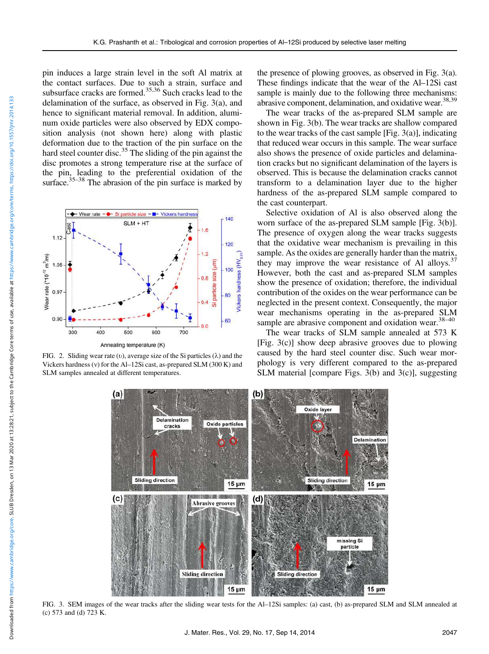pin induces a large strain level in the soft Al matrix at the contact surfaces. Due to such a strain, surface and subsurface cracks are formed.<sup>35,36</sup> Such cracks lead to the delamination of the surface, as observed in Fig. 3(a), and hence to significant material removal. In addition, aluminum oxide particles were also observed by EDX composition analysis (not shown here) along with plastic deformation due to the traction of the pin surface on the hard steel counter disc.<sup>35</sup> The sliding of the pin against the disc promotes a strong temperature rise at the surface of the pin, leading to the preferential oxidation of the surface. $35-38$  The abrasion of the pin surface is marked by



FIG. 2. Sliding wear rate (v), average size of the Si particles  $(\lambda)$  and the Vickers hardness (v) for the Al–12Si cast, as-prepared SLM  $(300 K)$  and SLM samples annealed at different temperatures.

the presence of plowing grooves, as observed in Fig. 3(a). These findings indicate that the wear of the Al–12Si cast sample is mainly due to the following three mechanisms: abrasive component, delamination, and oxidative wear.<sup>38,39</sup>

The wear tracks of the as-prepared SLM sample are shown in Fig. 3(b). The wear tracks are shallow compared to the wear tracks of the cast sample [Fig. 3(a)], indicating that reduced wear occurs in this sample. The wear surface also shows the presence of oxide particles and delamination cracks but no significant delamination of the layers is observed. This is because the delamination cracks cannot transform to a delamination layer due to the higher hardness of the as-prepared SLM sample compared to the cast counterpart.

Selective oxidation of Al is also observed along the worn surface of the as-prepared SLM sample [Fig. 3(b)]. The presence of oxygen along the wear tracks suggests that the oxidative wear mechanism is prevailing in this sample. As the oxides are generally harder than the matrix, they may improve the wear resistance of Al alloys.<sup>37</sup> However, both the cast and as-prepared SLM samples show the presence of oxidation; therefore, the individual contribution of the oxides on the wear performance can be neglected in the present context. Consequently, the major wear mechanisms operating in the as-prepared SLM sample are abrasive component and oxidation wear.  $38-40$ 

The wear tracks of SLM sample annealed at 573 K [Fig. 3(c)] show deep abrasive grooves due to plowing caused by the hard steel counter disc. Such wear morphology is very different compared to the as-prepared SLM material [compare Figs. 3(b) and 3(c)], suggesting



FIG. 3. SEM images of the wear tracks after the sliding wear tests for the Al–12Si samples: (a) cast, (b) as-prepared SLM and SLM annealed at (c) 573 and (d) 723 K.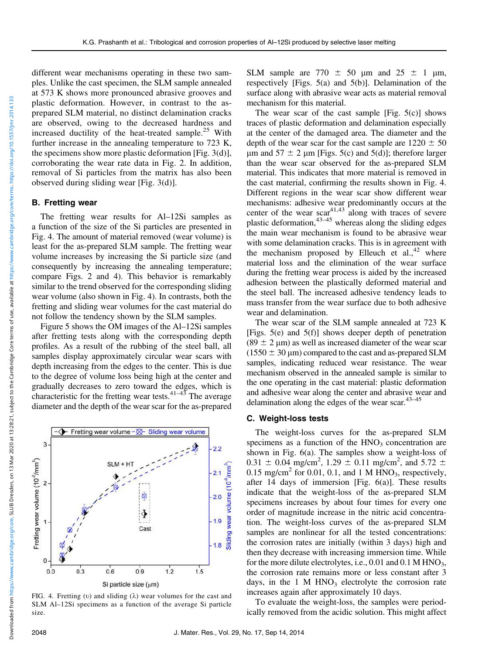different wear mechanisms operating in these two samples. Unlike the cast specimen, the SLM sample annealed at 573 K shows more pronounced abrasive grooves and plastic deformation. However, in contrast to the asprepared SLM material, no distinct delamination cracks are observed, owing to the decreased hardness and increased ductility of the heat-treated sample.<sup>25</sup> With further increase in the annealing temperature to 723 K, the specimens show more plastic deformation [Fig. 3(d)], corroborating the wear rate data in Fig. 2. In addition, removal of Si particles from the matrix has also been observed during sliding wear [Fig. 3(d)].

#### B. Fretting wear

The fretting wear results for Al–12Si samples as a function of the size of the Si particles are presented in Fig. 4. The amount of material removed (wear volume) is least for the as-prepared SLM sample. The fretting wear volume increases by increasing the Si particle size (and consequently by increasing the annealing temperature; compare Figs. 2 and 4). This behavior is remarkably similar to the trend observed for the corresponding sliding wear volume (also shown in Fig. 4). In contrasts, both the fretting and sliding wear volumes for the cast material do not follow the tendency shown by the SLM samples.

Figure 5 shows the OM images of the Al–12Si samples after fretting tests along with the corresponding depth profiles. As a result of the rubbing of the steel ball, all samples display approximately circular wear scars with depth increasing from the edges to the center. This is due to the degree of volume loss being high at the center and gradually decreases to zero toward the edges, which is characteristic for the fretting wear tests. $41-43$  The average diameter and the depth of the wear scar for the as-prepared



FIG. 4. Fretting (v) and sliding ( $\lambda$ ) wear volumes for the cast and SLM Al–12Si specimens as a function of the average Si particle size.

SLM sample are 770  $\pm$  50 µm and 25  $\pm$  1 µm, respectively [Figs. 5(a) and 5(b)]. Delamination of the surface along with abrasive wear acts as material removal mechanism for this material.

The wear scar of the cast sample [Fig.  $5(c)$ ] shows traces of plastic deformation and delamination especially at the center of the damaged area. The diameter and the depth of the wear scar for the cast sample are  $1220 \pm 50$  $\mu$ m and 57  $\pm$  2  $\mu$ m [Figs. 5(c) and 5(d)]; therefore larger than the wear scar observed for the as-prepared SLM material. This indicates that more material is removed in the cast material, confirming the results shown in Fig. 4. Different regions in the wear scar show different wear mechanisms: adhesive wear predominantly occurs at the center of the wear  $scar^{41,43}$  along with traces of severe plastic deformation, $43-45$  whereas along the sliding edges the main wear mechanism is found to be abrasive wear with some delamination cracks. This is in agreement with the mechanism proposed by Elleuch et  $aL$ ,<sup>42</sup> where material loss and the elimination of the wear surface during the fretting wear process is aided by the increased adhesion between the plastically deformed material and the steel ball. The increased adhesive tendency leads to mass transfer from the wear surface due to both adhesive wear and delamination.

The wear scar of the SLM sample annealed at 723 K [Figs. 5(e) and 5(f)] shows deeper depth of penetration (89  $\pm$  2 µm) as well as increased diameter of the wear scar  $(1550 \pm 30 \,\text{\textmu})$  compared to the cast and as-prepared SLM samples, indicating reduced wear resistance. The wear mechanism observed in the annealed sample is similar to the one operating in the cast material: plastic deformation and adhesive wear along the center and abrasive wear and delamination along the edges of the wear scar. $43-45$ 

#### C. Weight-loss tests

The weight-loss curves for the as-prepared SLM specimens as a function of the  $HNO<sub>3</sub>$  concentration are shown in Fig. 6(a). The samples show a weight-loss of  $0.31 \pm 0.04$  mg/cm<sup>2</sup>, 1.29  $\pm$  0.11 mg/cm<sup>2</sup>, and 5.72  $\pm$  $0.15 \text{ mg/cm}^2$  for 0.01, 0.1, and 1 M HNO<sub>3</sub>, respectively, after 14 days of immersion [Fig.  $6(a)$ ]. These results indicate that the weight-loss of the as-prepared SLM specimens increases by about four times for every one order of magnitude increase in the nitric acid concentration. The weight-loss curves of the as-prepared SLM samples are nonlinear for all the tested concentrations: the corrosion rates are initially (within 3 days) high and then they decrease with increasing immersion time. While for the more dilute electrolytes, i.e.,  $0.01$  and  $0.1$  M HNO<sub>3</sub>, the corrosion rate remains more or less constant after 3 days, in the 1 M  $HNO<sub>3</sub>$  electrolyte the corrosion rate increases again after approximately 10 days.

To evaluate the weight-loss, the samples were periodically removed from the acidic solution. This might affect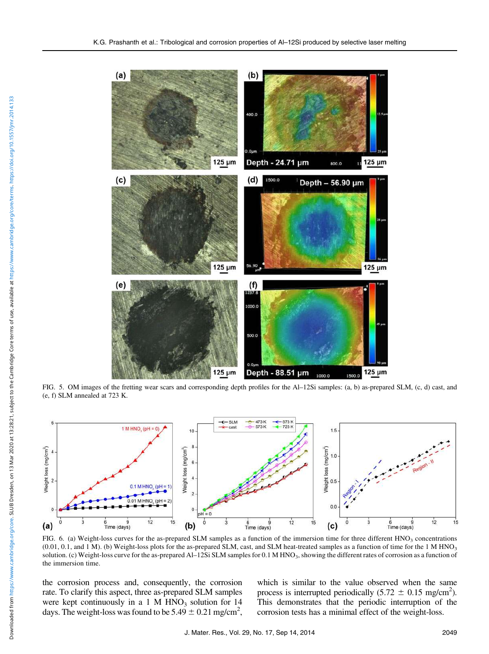

FIG. 5. OM images of the fretting wear scars and corresponding depth profiles for the Al–12Si samples: (a, b) as-prepared SLM, (c, d) cast, and (e, f) SLM annealed at 723 K.



FIG. 6. (a) Weight-loss curves for the as-prepared SLM samples as a function of the immersion time for three different  $HNO<sub>3</sub>$  concentrations  $(0.01, 0.1,$  and 1 M). (b) Weight-loss plots for the as-prepared SLM, cast, and SLM heat-treated samples as a function of time for the 1 M HNO<sub>3</sub> solution. (c) Weight-loss curve for the as-prepared Al–12Si SLM samples for 0.1 M HNO<sub>3</sub>, showing the different rates of corrosion as a function of the immersion time.

the corrosion process and, consequently, the corrosion rate. To clarify this aspect, three as-prepared SLM samples were kept continuously in a 1 M  $HNO<sub>3</sub>$  solution for 14 days. The weight-loss was found to be  $5.49 \pm 0.21$  mg/cm<sup>2</sup>,

which is similar to the value observed when the same process is interrupted periodically  $(5.72 \pm 0.15 \text{ mg/cm}^2)$ . This demonstrates that the periodic interruption of the corrosion tests has a minimal effect of the weight-loss.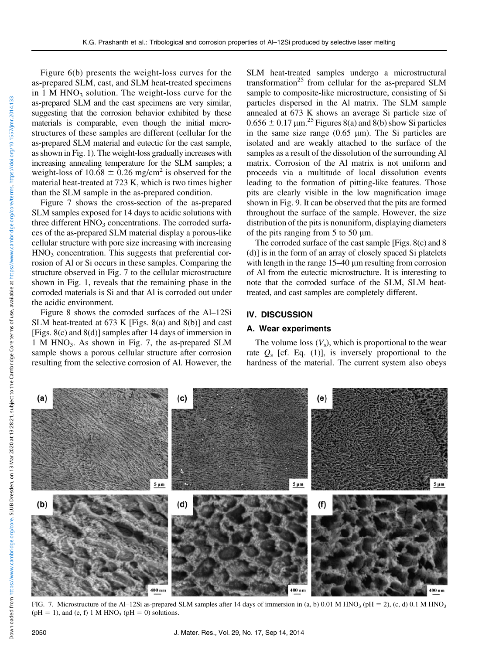Figure 6(b) presents the weight-loss curves for the as-prepared SLM, cast, and SLM heat-treated specimens in 1 M HNO<sub>3</sub> solution. The weight-loss curve for the as-prepared SLM and the cast specimens are very similar, suggesting that the corrosion behavior exhibited by these materials is comparable, even though the initial microstructures of these samples are different (cellular for the as-prepared SLM material and eutectic for the cast sample, as shown in Fig. 1). The weight-loss gradually increases with increasing annealing temperature for the SLM samples; a weight-loss of  $10.68 \pm 0.26$  mg/cm<sup>2</sup> is observed for the material heat-treated at 723 K, which is two times higher than the SLM sample in the as-prepared condition.

Figure 7 shows the cross-section of the as-prepared SLM samples exposed for 14 days to acidic solutions with three different  $HNO<sub>3</sub>$  concentrations. The corroded surfaces of the as-prepared SLM material display a porous-like cellular structure with pore size increasing with increasing  $HNO<sub>3</sub>$  concentration. This suggests that preferential corrosion of Al or Si occurs in these samples. Comparing the structure observed in Fig. 7 to the cellular microstructure shown in Fig. 1, reveals that the remaining phase in the corroded materials is Si and that Al is corroded out under the acidic environment.

Figure 8 shows the corroded surfaces of the Al–12Si SLM heat-treated at 673 K [Figs. 8(a) and 8(b)] and cast [Figs. 8(c) and 8(d)] samples after 14 days of immersion in 1 M HNO<sub>3</sub>. As shown in Fig. 7, the as-prepared SLM sample shows a porous cellular structure after corrosion resulting from the selective corrosion of Al. However, the

SLM heat-treated samples undergo a microstructural transformation<sup>25</sup> from cellular for the as-prepared SLM sample to composite-like microstructure, consisting of Si particles dispersed in the Al matrix. The SLM sample annealed at 673 K shows an average Si particle size of  $0.656 \pm 0.17$  µm.<sup>25</sup> Figures 8(a) and 8(b) show Si particles in the same size range  $(0.65 \mu m)$ . The Si particles are isolated and are weakly attached to the surface of the samples as a result of the dissolution of the surrounding Al matrix. Corrosion of the Al matrix is not uniform and proceeds via a multitude of local dissolution events leading to the formation of pitting-like features. Those pits are clearly visible in the low magnification image shown in Fig. 9. It can be observed that the pits are formed throughout the surface of the sample. However, the size distribution of the pits is nonuniform, displaying diameters of the pits ranging from 5 to 50  $\mu$ m.

The corroded surface of the cast sample [Figs. 8(c) and 8 (d)] is in the form of an array of closely spaced Si platelets with length in the range  $15-40 \mu m$  resulting from corrosion of Al from the eutectic microstructure. It is interesting to note that the corroded surface of the SLM, SLM heattreated, and cast samples are completely different.

#### IV. DISCUSSION

#### A. Wear experiments

The volume loss  $(V_s)$ , which is proportional to the wear rate  $Q_s$  [cf. Eq. (1)], is inversely proportional to the hardness of the material. The current system also obeys



FIG. 7. Microstructure of the Al–12Si as-prepared SLM samples after 14 days of immersion in (a, b) 0.01 M HNO<sub>3</sub> (pH = 2), (c, d) 0.1 M HNO<sub>3</sub> ( $pH = 1$ ), and (e, f) 1 M HNO<sub>3</sub> ( $pH = 0$ ) solutions.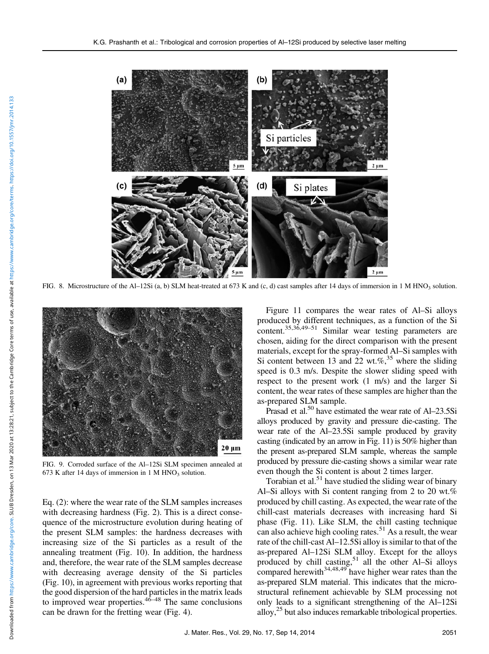

FIG. 8. Microstructure of the Al–12Si (a, b) SLM heat-treated at 673 K and (c, d) cast samples after 14 days of immersion in 1 M HNO<sub>3</sub> solution.



FIG. 9. Corroded surface of the Al–12Si SLM specimen annealed at 673 K after 14 days of immersion in  $1 M HNO<sub>3</sub>$  solution.

Eq. (2): where the wear rate of the SLM samples increases with decreasing hardness (Fig. 2). This is a direct consequence of the microstructure evolution during heating of the present SLM samples: the hardness decreases with increasing size of the Si particles as a result of the annealing treatment (Fig. 10). In addition, the hardness and, therefore, the wear rate of the SLM samples decrease with decreasing average density of the Si particles (Fig. 10), in agreement with previous works reporting that the good dispersion of the hard particles in the matrix leads to improved wear properties. $46-48$  The same conclusions can be drawn for the fretting wear (Fig. 4).

Figure 11 compares the wear rates of Al–Si alloys produced by different techniques, as a function of the Si content.35,36,49–<sup>51</sup> Similar wear testing parameters are chosen, aiding for the direct comparison with the present materials, except for the spray-formed Al–Si samples with Si content between 13 and 22 wt.%, $35$  where the sliding speed is 0.3 m/s. Despite the slower sliding speed with respect to the present work (1 m/s) and the larger Si content, the wear rates of these samples are higher than the as-prepared SLM sample.

Prasad et al.<sup>50</sup> have estimated the wear rate of Al–23.5Si alloys produced by gravity and pressure die-casting. The wear rate of the Al–23.5Si sample produced by gravity casting (indicated by an arrow in Fig. 11) is 50% higher than the present as-prepared SLM sample, whereas the sample produced by pressure die-casting shows a similar wear rate even though the Si content is about 2 times larger.

Torabian et al.<sup>51</sup> have studied the sliding wear of binary Al–Si alloys with Si content ranging from 2 to 20 wt.% produced by chill casting. As expected, the wear rate of the chill-cast materials decreases with increasing hard Si phase (Fig. 11). Like SLM, the chill casting technique can also achieve high cooling rates.<sup>51</sup> As a result, the wear rate of the chill-cast Al–12.5Si alloy is similar to that of the as-prepared Al–12Si SLM alloy. Except for the alloys produced by chill casting,<sup>51</sup> all the other Al–Si alloys compared herewith<sup>34,48,49</sup> have higher wear rates than the as-prepared SLM material. This indicates that the microstructural refinement achievable by SLM processing not only leads to a significant strengthening of the Al–12Si alloy, $2^5$  but also induces remarkable tribological properties.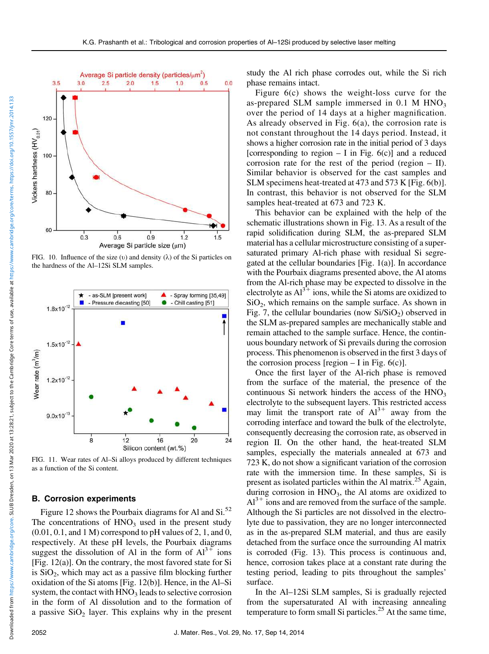

FIG. 10. Influence of the size (v) and density  $(\lambda)$  of the Si particles on the hardness of the Al–12Si SLM samples.



FIG. 11. Wear rates of Al–Si alloys produced by different techniques as a function of the Si content.

#### B. Corrosion experiments

Figure 12 shows the Pourbaix diagrams for Al and  $Si^{52}$ . The concentrations of  $HNO<sub>3</sub>$  used in the present study  $(0.01, 0.1,$  and 1 M) correspond to pH values of 2, 1, and 0, respectively. At these pH levels, the Pourbaix diagrams suggest the dissolution of Al in the form of  $Al<sup>3+</sup>$  ions [Fig. 12(a)]. On the contrary, the most favored state for Si is  $SiO<sub>2</sub>$ , which may act as a passive film blocking further oxidation of the Si atoms [Fig. 12(b)]. Hence, in the Al–Si system, the contact with  $HNO<sub>3</sub>$  leads to selective corrosion in the form of Al dissolution and to the formation of a passive  $SiO<sub>2</sub>$  layer. This explains why in the present

study the Al rich phase corrodes out, while the Si rich phase remains intact.

Figure 6(c) shows the weight-loss curve for the as-prepared SLM sample immersed in  $0.1$  M  $HNO<sub>3</sub>$ over the period of 14 days at a higher magnification. As already observed in Fig. 6(a), the corrosion rate is not constant throughout the 14 days period. Instead, it shows a higher corrosion rate in the initial period of 3 days [corresponding to region  $- I$  in Fig. 6(c)] and a reduced corrosion rate for the rest of the period (region  $-$  II). Similar behavior is observed for the cast samples and SLM specimens heat-treated at 473 and 573 K [Fig. 6(b)]. In contrast, this behavior is not observed for the SLM samples heat-treated at 673 and 723 K.

This behavior can be explained with the help of the schematic illustrations shown in Fig. 13. As a result of the rapid solidification during SLM, the as-prepared SLM material has a cellular microstructure consisting of a supersaturated primary Al-rich phase with residual Si segregated at the cellular boundaries [Fig. 1(a)]. In accordance with the Pourbaix diagrams presented above, the Al atoms from the Al-rich phase may be expected to dissolve in the electrolyte as  $Al^{3+}$  ions, while the Si atoms are oxidized to  $SiO<sub>2</sub>$ , which remains on the sample surface. As shown in Fig. 7, the cellular boundaries (now  $Si/SiO<sub>2</sub>$ ) observed in the SLM as-prepared samples are mechanically stable and remain attached to the sample surface. Hence, the continuous boundary network of Si prevails during the corrosion process. This phenomenon is observed in the first 3 days of the corrosion process [region  $-$  I in Fig. 6(c)].

Once the first layer of the Al-rich phase is removed from the surface of the material, the presence of the continuous Si network hinders the access of the  $HNO<sub>3</sub>$ electrolyte to the subsequent layers. This restricted access may limit the transport rate of  $Al^{3+}$  away from the corroding interface and toward the bulk of the electrolyte, consequently decreasing the corrosion rate, as observed in region II. On the other hand, the heat-treated SLM samples, especially the materials annealed at 673 and 723 K, do not show a significant variation of the corrosion rate with the immersion time. In these samples, Si is present as isolated particles within the Al matrix.<sup>25</sup> Again, during corrosion in  $HNO<sub>3</sub>$ , the Al atoms are oxidized to  $Al<sup>3+</sup>$  ions and are removed from the surface of the sample. Although the Si particles are not dissolved in the electrolyte due to passivation, they are no longer interconnected as in the as-prepared SLM material, and thus are easily detached from the surface once the surrounding Al matrix is corroded (Fig. 13). This process is continuous and, hence, corrosion takes place at a constant rate during the testing period, leading to pits throughout the samples' surface.

In the Al–12Si SLM samples, Si is gradually rejected from the supersaturated Al with increasing annealing temperature to form small Si particles.<sup>25</sup> At the same time,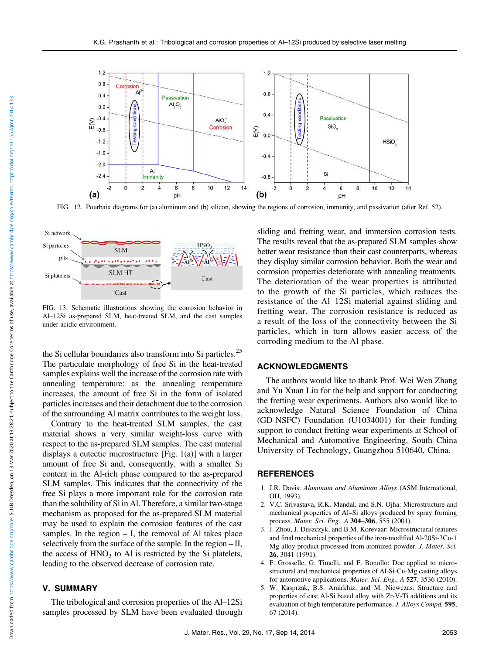

FIG. 12. Pourbaix diagrams for (a) aluminum and (b) silicon, showing the regions of corrosion, immunity, and passivation (after Ref. 52).



FIG. 13. Schematic illustrations showing the corrosion behavior in Al–12Si as-prepared SLM, heat-treated SLM, and the cast samples under acidic environment.

the Si cellular boundaries also transform into Si particles.<sup>25</sup> The particulate morphology of free Si in the heat-treated samples explains well the increase of the corrosion rate with annealing temperature: as the annealing temperature increases, the amount of free Si in the form of isolated particles increases and their detachment due to the corrosion of the surrounding Al matrix contributes to the weight loss.

Contrary to the heat-treated SLM samples, the cast material shows a very similar weight-loss curve with respect to the as-prepared SLM samples. The cast material displays a eutectic microstructure [Fig. 1(a)] with a larger amount of free Si and, consequently, with a smaller Si content in the Al-rich phase compared to the as-prepared SLM samples. This indicates that the connectivity of the free Si plays a more important role for the corrosion rate than the solubility of Si in Al. Therefore, a similar two-stage mechanism as proposed for the as-prepared SLM material may be used to explain the corrosion features of the cast samples. In the region  $-$  I, the removal of Al takes place selectively from the surface of the sample. In the region – II, the access of  $HNO<sub>3</sub>$  to Al is restricted by the Si platelets, leading to the observed decrease of corrosion rate.

#### V. SUMMARY

The tribological and corrosion properties of the Al–12Si samples processed by SLM have been evaluated through

sliding and fretting wear, and immersion corrosion tests. The results reveal that the as-prepared SLM samples show better wear resistance than their cast counterparts, whereas they display similar corrosion behavior. Both the wear and corrosion properties deteriorate with annealing treatments. The deterioration of the wear properties is attributed to the growth of the Si particles, which reduces the resistance of the Al–12Si material against sliding and fretting wear. The corrosion resistance is reduced as a result of the loss of the connectivity between the Si particles, which in turn allows easier access of the corroding medium to the Al phase.

#### ACKNOWLEDGMENTS

The authors would like to thank Prof. Wei Wen Zhang and Yu Xuan Liu for the help and support for conducting the fretting wear experiments. Authors also would like to acknowledge Natural Science Foundation of China (GD-NSFC) Foundation (U1034001) for their funding support to conduct fretting wear experiments at School of Mechanical and Automotive Engineering, South China University of Technology, Guangzhou 510640, China.

#### REFERENCES

- 1. J.R. Davis: Aluminum and Aluminum Alloys (ASM International, OH, 1993).
- 2. V.C. Srivastava, R.K. Mandal, and S.N. Ojha: Microstructure and mechanical properties of Al–Si alloys produced by spray forming process. Mater. Sci. Eng., A 304–306, 555 (2001).
- 3. J. Zhou, J. Duszczyk, and B.M. Korevaar: Microstructural features and final mechanical properties of the iron-modified Al-20Si-3Cu-1 Mg alloy product processed from atomized powder. J. Mater. Sci. 26, 3041 (1991).
- 4. F. Grosselle, G. Timelli, and F. Bonollo: Doe applied to microstructural and mechanical properties of Al-Si-Cu-Mg casting alloys for automotive applications. Mater. Sci. Eng., A 527, 3536 (2010).
- 5. W. Kasprzak, B.S. Amirkhiz, and M. Niewczas: Structure and properties of cast Al-Si based alloy with Zr-V-Ti additions and its evaluation of high temperature performance. J. Alloys Compd. 595, 67 (2014).